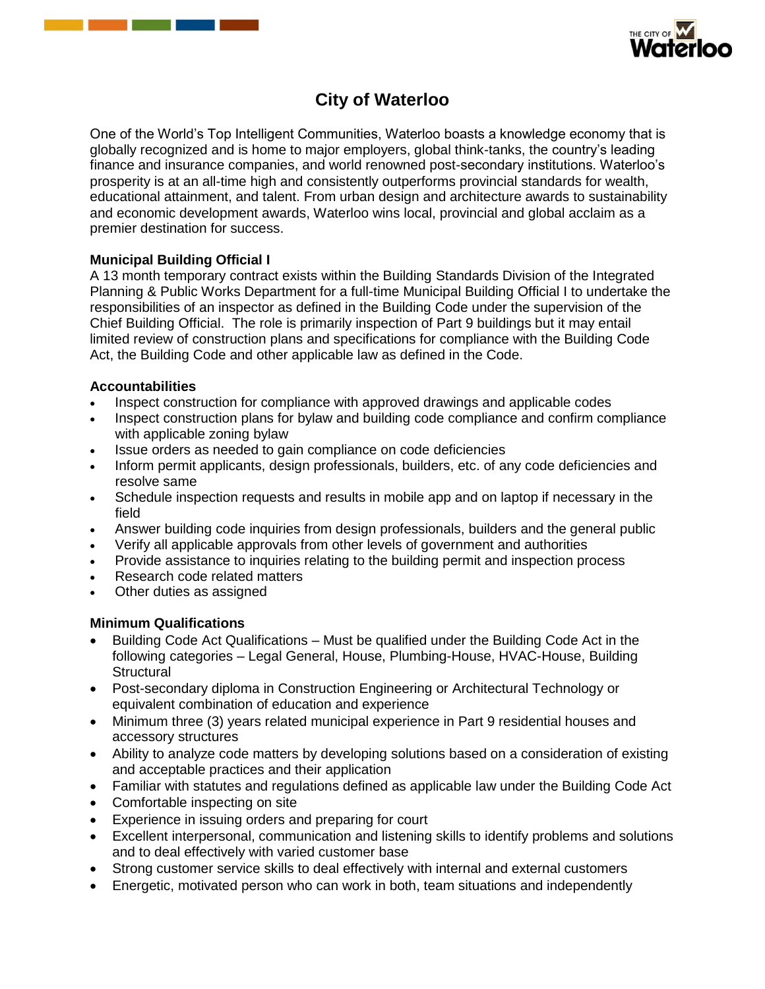



# **City of Waterloo**

One of the World's Top Intelligent Communities, Waterloo boasts a knowledge economy that is globally recognized and is home to major employers, global think-tanks, the country's leading finance and insurance companies, and world renowned post-secondary institutions. Waterloo's prosperity is at an all-time high and consistently outperforms provincial standards for wealth, educational attainment, and talent. From urban design and architecture awards to sustainability and economic development awards, Waterloo wins local, provincial and global acclaim as a premier destination for success.

# **Municipal Building Official I**

A 13 month temporary contract exists within the Building Standards Division of the Integrated Planning & Public Works Department for a full-time Municipal Building Official I to undertake the responsibilities of an inspector as defined in the Building Code under the supervision of the Chief Building Official. The role is primarily inspection of Part 9 buildings but it may entail limited review of construction plans and specifications for compliance with the Building Code Act, the Building Code and other applicable law as defined in the Code.

## **Accountabilities**

- Inspect construction for compliance with approved drawings and applicable codes
- Inspect construction plans for bylaw and building code compliance and confirm compliance with applicable zoning bylaw
- Issue orders as needed to gain compliance on code deficiencies
- Inform permit applicants, design professionals, builders, etc. of any code deficiencies and resolve same
- Schedule inspection requests and results in mobile app and on laptop if necessary in the field
- Answer building code inquiries from design professionals, builders and the general public
- Verify all applicable approvals from other levels of government and authorities
- Provide assistance to inquiries relating to the building permit and inspection process
- Research code related matters
- Other duties as assigned

## **Minimum Qualifications**

- Building Code Act Qualifications Must be qualified under the Building Code Act in the following categories – Legal General, House, Plumbing-House, HVAC-House, Building **Structural**
- Post-secondary diploma in Construction Engineering or Architectural Technology or equivalent combination of education and experience
- Minimum three (3) years related municipal experience in Part 9 residential houses and accessory structures
- Ability to analyze code matters by developing solutions based on a consideration of existing and acceptable practices and their application
- Familiar with statutes and regulations defined as applicable law under the Building Code Act
- Comfortable inspecting on site
- Experience in issuing orders and preparing for court
- Excellent interpersonal, communication and listening skills to identify problems and solutions and to deal effectively with varied customer base
- Strong customer service skills to deal effectively with internal and external customers
- Energetic, motivated person who can work in both, team situations and independently